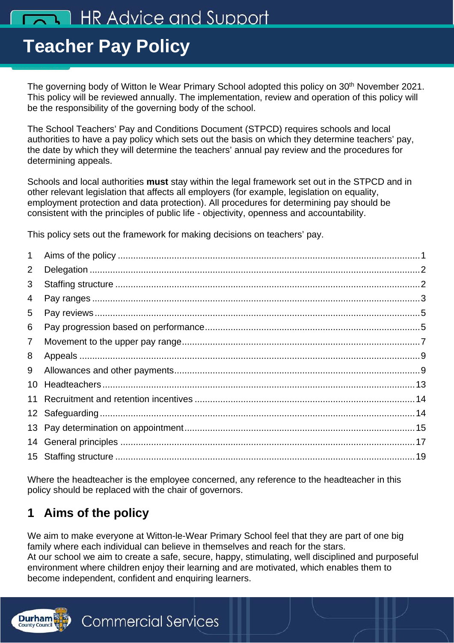# **TAN HR Advice and Support**

# 40 **Teacher Pay Policy**

The governing body of Witton le Wear Primary School adopted this policy on 30<sup>th</sup> November 2021. This policy will be reviewed annually. The implementation, review and operation of this policy will be the responsibility of the governing body of the school.

The School Teachers' Pay and Conditions Document (STPCD) requires schools and local authorities to have a pay policy which sets out the basis on which they determine teachers' pay, the date by which they will determine the teachers' annual pay review and the procedures for determining appeals.

Schools and local authorities **must** stay within the legal framework set out in the STPCD and in other relevant legislation that affects all employers (for example, legislation on equality, employment protection and data protection). All procedures for determining pay should be consistent with the principles of public life - objectivity, openness and accountability.

This policy sets out the framework for making decisions on teachers' pay.

| $\mathbf 1$     |  |
|-----------------|--|
| 2               |  |
| 3               |  |
| 4               |  |
| 5               |  |
| 6               |  |
| $\overline{7}$  |  |
| 8               |  |
| 9               |  |
| 10              |  |
| 11              |  |
| 12 <sup>°</sup> |  |
|                 |  |
| 14              |  |
|                 |  |
|                 |  |

Where the headteacher is the employee concerned, any reference to the headteacher in this policy should be replaced with the chair of governors.

# <span id="page-0-0"></span>**1 Aims of the policy**

We aim to make everyone at Witton-le-Wear Primary School feel that they are part of one big family where each individual can believe in themselves and reach for the stars. At our school we aim to create a safe, secure, happy, stimulating, well disciplined and purposeful environment where children enjoy their learning and are motivated, which enables them to become independent, confident and enquiring learners.

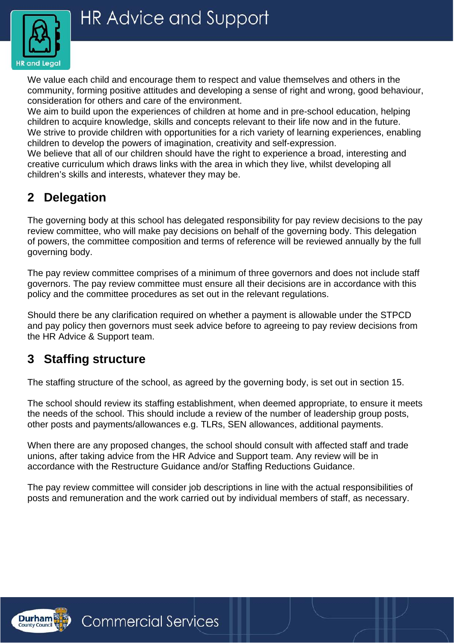

We value each child and encourage them to respect and value themselves and others in the community, forming positive attitudes and developing a sense of right and wrong, good behaviour, consideration for others and care of the environment.

We aim to build upon the experiences of children at home and in pre-school education, helping children to acquire knowledge, skills and concepts relevant to their life now and in the future. We strive to provide children with opportunities for a rich variety of learning experiences, enabling children to develop the powers of imagination, creativity and self-expression.

We believe that all of our children should have the right to experience a broad, interesting and creative curriculum which draws links with the area in which they live, whilst developing all children's skills and interests, whatever they may be.

# <span id="page-1-0"></span>**2 Delegation**

The governing body at this school has delegated responsibility for pay review decisions to the pay review committee, who will make pay decisions on behalf of the governing body. This delegation of powers, the committee composition and terms of reference will be reviewed annually by the full governing body.

The pay review committee comprises of a minimum of three governors and does not include staff governors. The pay review committee must ensure all their decisions are in accordance with this policy and the committee procedures as set out in the relevant regulations.

Should there be any clarification required on whether a payment is allowable under the STPCD and pay policy then governors must seek advice before to agreeing to pay review decisions from the HR Advice & Support team.

## <span id="page-1-1"></span>**3 Staffing structure**

The staffing structure of the school, as agreed by the governing body, is set out in section 15.

The school should review its staffing establishment, when deemed appropriate, to ensure it meets the needs of the school. This should include a review of the number of leadership group posts, other posts and payments/allowances e.g. TLRs, SEN allowances, additional payments.

When there are any proposed changes, the school should consult with affected staff and trade unions, after taking advice from the HR Advice and Support team. Any review will be in accordance with the Restructure Guidance and/or Staffing Reductions Guidance.

The pay review committee will consider job descriptions in line with the actual responsibilities of posts and remuneration and the work carried out by individual members of staff, as necessary.

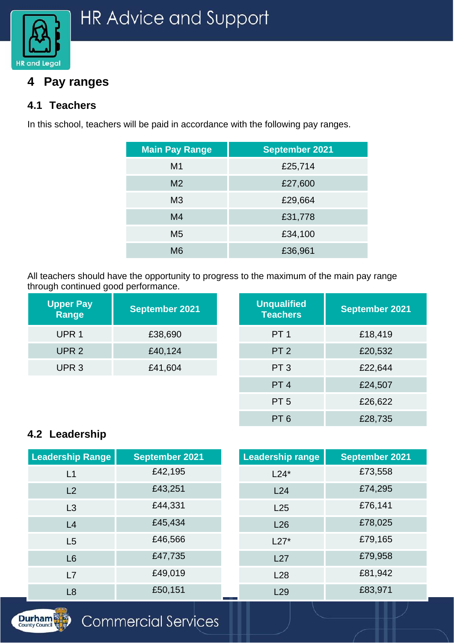

## <span id="page-2-0"></span>**4 Pay ranges**

#### **4.1 Teachers**

In this school, teachers will be paid in accordance with the following pay ranges.

| <b>September 2021</b> |
|-----------------------|
| £25,714               |
| £27,600               |
| £29,664               |
| £31,778               |
| £34,100               |
| £36,961               |
|                       |

All teachers should have the opportunity to progress to the maximum of the main pay range through continued good performance.

| <b>Upper Pay</b><br>Range | <b>September 2021</b> | <b>Unqualified</b><br><b>Teachers</b> | <b>September 2021</b> |
|---------------------------|-----------------------|---------------------------------------|-----------------------|
| UPR <sub>1</sub>          | £38,690               | PT <sub>1</sub>                       | £18,419               |
| UPR <sub>2</sub>          | £40,124               | PT <sub>2</sub>                       | £20,532               |
| UPR <sub>3</sub>          | £41,604               | PT <sub>3</sub>                       | £22,644               |
|                           |                       | PT <sub>4</sub>                       | £24,507               |
|                           |                       | PT <sub>5</sub>                       | £26,622               |

PT 6 £28,735

#### **4.2 Leadership**

| <b>Leadership Range</b> | <b>September 2021</b> | <b>Leadership range</b> | <b>September 2021</b> |
|-------------------------|-----------------------|-------------------------|-----------------------|
| L1                      | £42,195               | $L24*$                  | £73,558               |
| L2                      | £43,251               | L24                     | £74,295               |
| L3                      | £44,331               | L25                     | £76,141               |
| L4                      | £45,434               | L26                     | £78,025               |
| L5                      | £46,566               | $L27*$                  | £79,165               |
| L <sub>6</sub>          | £47,735               | L27                     | £79,958               |
| L7                      | £49,019               | L28                     | £81,942               |
| L <sub>8</sub>          | £50,151               | L29                     | £83,971               |

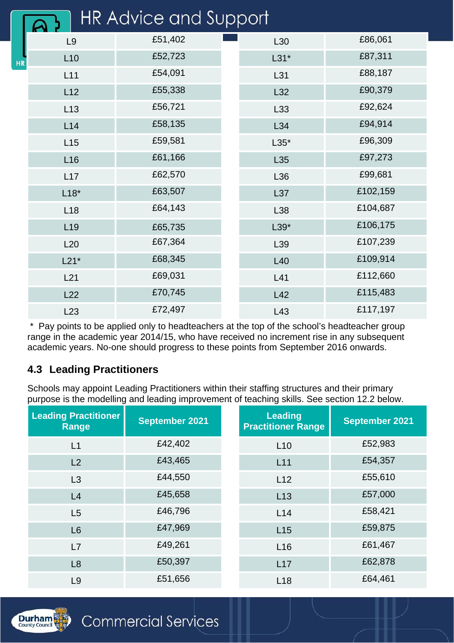|           |                 | <b>HR Advice and Support</b> |        |          |
|-----------|-----------------|------------------------------|--------|----------|
|           | L9              | £51,402                      | L30    | £86,061  |
| <b>HR</b> | L10             | £52,723                      | $L31*$ | £87,311  |
|           | L11             | £54,091                      | L31    | £88,187  |
|           | L12             | £55,338                      | L32    | £90,379  |
|           | L13             | £56,721                      | L33    | £92,624  |
|           | L14             | £58,135                      | L34    | £94,914  |
|           | L15             | £59,581                      | $L35*$ | £96,309  |
|           | L16             | £61,166                      | L35    | £97,273  |
|           | L17             | £62,570                      | L36    | £99,681  |
|           | $L18*$          | £63,507                      | L37    | £102,159 |
|           | L18             | £64,143                      | L38    | £104,687 |
|           | L <sub>19</sub> | £65,735                      | $L39*$ | £106,175 |
|           | L20             | £67,364                      | L39    | £107,239 |
|           | $L21*$          | £68,345                      | L40    | £109,914 |
|           | L21             | £69,031                      | L41    | £112,660 |
|           | L22             | £70,745                      | L42    | £115,483 |
|           | L23             | £72,497                      | L43    | £117,197 |

\* Pay points to be applied only to headteachers at the top of the school's headteacher group range in the academic year 2014/15, who have received no increment rise in any subsequent academic years. No-one should progress to these points from September 2016 onwards.

#### **4.3 Leading Practitioners**

Schools may appoint Leading Practitioners within their staffing structures and their primary purpose is the modelling and leading improvement of teaching skills. See section 12.2 below.

| <b>Leading Practitioner</b><br>Range | <b>September 2021</b> | <b>Leading</b><br><b>Practitioner Range</b> | <b>September 2021</b> |
|--------------------------------------|-----------------------|---------------------------------------------|-----------------------|
| L1                                   | £42,402               | L10                                         | £52,983               |
| L2                                   | £43,465               | L11                                         | £54,357               |
| L3                                   | £44,550               | L12                                         | £55,610               |
| L4                                   | £45,658               | L13                                         | £57,000               |
| L5                                   | £46,796               | L14                                         | £58,421               |
| L6                                   | £47,969               | L15                                         | £59,875               |
| L7                                   | £49,261               | L <sub>16</sub>                             | £61,467               |
| L8                                   | £50,397               | L17                                         | £62,878               |
| L <sub>9</sub>                       | £51,656               | L18                                         | £64,461               |

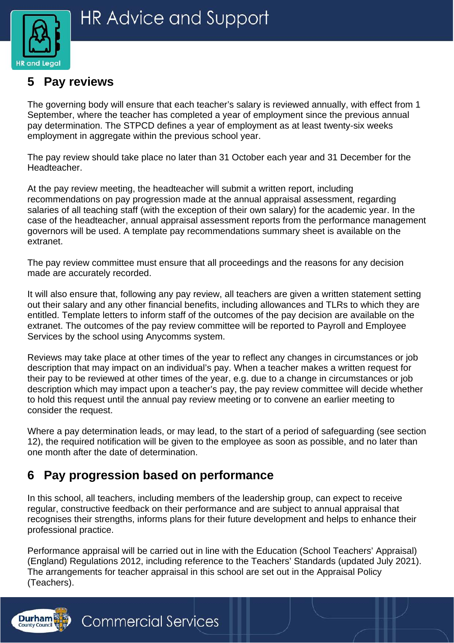

## <span id="page-4-0"></span>**5 Pay reviews**

The governing body will ensure that each teacher's salary is reviewed annually, with effect from 1 September, where the teacher has completed a year of employment since the previous annual pay determination. The STPCD defines a year of employment as at least twenty-six weeks employment in aggregate within the previous school year.

The pay review should take place no later than 31 October each year and 31 December for the Headteacher.

At the pay review meeting, the headteacher will submit a written report, including recommendations on pay progression made at the annual appraisal assessment, regarding salaries of all teaching staff (with the exception of their own salary) for the academic year. In the case of the headteacher, annual appraisal assessment reports from the performance management governors will be used. A template pay recommendations summary sheet is available on the extranet.

The pay review committee must ensure that all proceedings and the reasons for any decision made are accurately recorded.

It will also ensure that, following any pay review, all teachers are given a written statement setting out their salary and any other financial benefits, including allowances and TLRs to which they are entitled. Template letters to inform staff of the outcomes of the pay decision are available on the extranet. The outcomes of the pay review committee will be reported to Payroll and Employee Services by the school using Anycomms system.

Reviews may take place at other times of the year to reflect any changes in circumstances or job description that may impact on an individual's pay. When a teacher makes a written request for their pay to be reviewed at other times of the year, e.g. due to a change in circumstances or job description which may impact upon a teacher's pay, the pay review committee will decide whether to hold this request until the annual pay review meeting or to convene an earlier meeting to consider the request.

Where a pay determination leads, or may lead, to the start of a period of safeguarding (see section 12), the required notification will be given to the employee as soon as possible, and no later than one month after the date of determination.

## <span id="page-4-1"></span>**6 Pay progression based on performance**

In this school, all teachers, including members of the leadership group, can expect to receive regular, constructive feedback on their performance and are subject to annual appraisal that recognises their strengths, informs plans for their future development and helps to enhance their professional practice.

Performance appraisal will be carried out in line with the Education (School Teachers' Appraisal) (England) Regulations 2012, including reference to the Teachers' Standards (updated July 2021). The arrangements for teacher appraisal in this school are set out in the Appraisal Policy (Teachers).

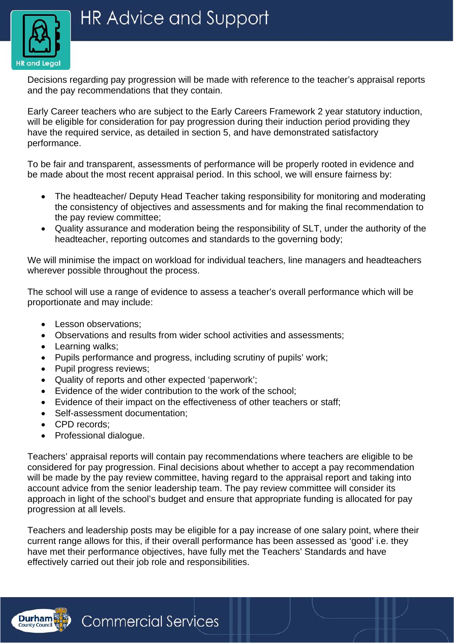

Decisions regarding pay progression will be made with reference to the teacher's appraisal reports and the pay recommendations that they contain.

Early Career teachers who are subject to the Early Careers Framework 2 year statutory induction, will be eligible for consideration for pay progression during their induction period providing they have the required service, as detailed in section 5, and have demonstrated satisfactory performance.

To be fair and transparent, assessments of performance will be properly rooted in evidence and be made about the most recent appraisal period. In this school, we will ensure fairness by:

- The headteacher/ Deputy Head Teacher taking responsibility for monitoring and moderating the consistency of objectives and assessments and for making the final recommendation to the pay review committee;
- Quality assurance and moderation being the responsibility of SLT, under the authority of the headteacher, reporting outcomes and standards to the governing body;

We will minimise the impact on workload for individual teachers, line managers and headteachers wherever possible throughout the process.

The school will use a range of evidence to assess a teacher's overall performance which will be proportionate and may include:

- Lesson observations;
- Observations and results from wider school activities and assessments;
- Learning walks;
- Pupils performance and progress, including scrutiny of pupils' work;
- Pupil progress reviews:
- Quality of reports and other expected 'paperwork';
- Evidence of the wider contribution to the work of the school;
- Evidence of their impact on the effectiveness of other teachers or staff;
- Self-assessment documentation;
- CPD records;
- Professional dialogue.

Teachers' appraisal reports will contain pay recommendations where teachers are eligible to be considered for pay progression. Final decisions about whether to accept a pay recommendation will be made by the pay review committee, having regard to the appraisal report and taking into account advice from the senior leadership team. The pay review committee will consider its approach in light of the school's budget and ensure that appropriate funding is allocated for pay progression at all levels.

Teachers and leadership posts may be eligible for a pay increase of one salary point, where their current range allows for this, if their overall performance has been assessed as 'good' i.e. they have met their performance objectives, have fully met the Teachers' Standards and have effectively carried out their job role and responsibilities.

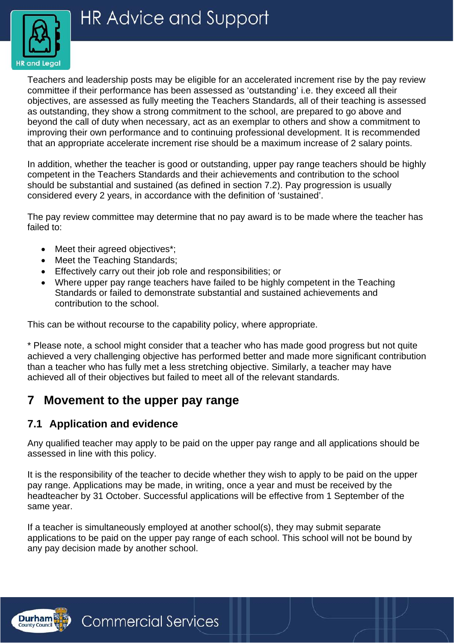

Teachers and leadership posts may be eligible for an accelerated increment rise by the pay review committee if their performance has been assessed as 'outstanding' i.e. they exceed all their objectives, are assessed as fully meeting the Teachers Standards, all of their teaching is assessed as outstanding, they show a strong commitment to the school, are prepared to go above and beyond the call of duty when necessary, act as an exemplar to others and show a commitment to improving their own performance and to continuing professional development. It is recommended that an appropriate accelerate increment rise should be a maximum increase of 2 salary points.

In addition, whether the teacher is good or outstanding, upper pay range teachers should be highly competent in the Teachers Standards and their achievements and contribution to the school should be substantial and sustained (as defined in section 7.2). Pay progression is usually considered every 2 years, in accordance with the definition of 'sustained'.

The pay review committee may determine that no pay award is to be made where the teacher has failed to:

- Meet their agreed objectives\*:
- Meet the Teaching Standards;
- Effectively carry out their job role and responsibilities; or
- Where upper pay range teachers have failed to be highly competent in the Teaching Standards or failed to demonstrate substantial and sustained achievements and contribution to the school.

This can be without recourse to the capability policy, where appropriate.

\* Please note, a school might consider that a teacher who has made good progress but not quite achieved a very challenging objective has performed better and made more significant contribution than a teacher who has fully met a less stretching objective. Similarly, a teacher may have achieved all of their objectives but failed to meet all of the relevant standards.

## <span id="page-6-0"></span>**7 Movement to the upper pay range**

#### **7.1 Application and evidence**

Any qualified teacher may apply to be paid on the upper pay range and all applications should be assessed in line with this policy.

It is the responsibility of the teacher to decide whether they wish to apply to be paid on the upper pay range. Applications may be made, in writing, once a year and must be received by the headteacher by 31 October. Successful applications will be effective from 1 September of the same year.

If a teacher is simultaneously employed at another school(s), they may submit separate applications to be paid on the upper pay range of each school. This school will not be bound by any pay decision made by another school.

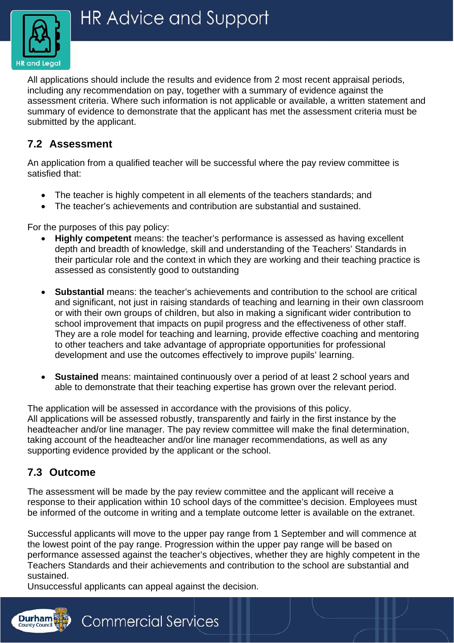

All applications should include the results and evidence from 2 most recent appraisal periods, including any recommendation on pay, together with a summary of evidence against the assessment criteria. Where such information is not applicable or available, a written statement and summary of evidence to demonstrate that the applicant has met the assessment criteria must be submitted by the applicant.

#### **7.2 Assessment**

An application from a qualified teacher will be successful where the pay review committee is satisfied that:

- The teacher is highly competent in all elements of the teachers standards; and
- The teacher's achievements and contribution are substantial and sustained.

For the purposes of this pay policy:

- **Highly competent** means: the teacher's performance is assessed as having excellent depth and breadth of knowledge, skill and understanding of the Teachers' Standards in their particular role and the context in which they are working and their teaching practice is assessed as consistently good to outstanding
- **Substantial** means: the teacher's achievements and contribution to the school are critical and significant, not just in raising standards of teaching and learning in their own classroom or with their own groups of children, but also in making a significant wider contribution to school improvement that impacts on pupil progress and the effectiveness of other staff. They are a role model for teaching and learning, provide effective coaching and mentoring to other teachers and take advantage of appropriate opportunities for professional development and use the outcomes effectively to improve pupils' learning.
- **Sustained** means: maintained continuously over a period of at least 2 school years and able to demonstrate that their teaching expertise has grown over the relevant period.

The application will be assessed in accordance with the provisions of this policy. All applications will be assessed robustly, transparently and fairly in the first instance by the headteacher and/or line manager. The pay review committee will make the final determination, taking account of the headteacher and/or line manager recommendations, as well as any supporting evidence provided by the applicant or the school.

#### **7.3 Outcome**

**Durham** 

The assessment will be made by the pay review committee and the applicant will receive a response to their application within 10 school days of the committee's decision. Employees must be informed of the outcome in writing and a template outcome letter is available on the extranet.

Successful applicants will move to the upper pay range from 1 September and will commence at the lowest point of the pay range. Progression within the upper pay range will be based on performance assessed against the teacher's objectives, whether they are highly competent in the Teachers Standards and their achievements and contribution to the school are substantial and sustained.

Unsuccessful applicants can appeal against the decision.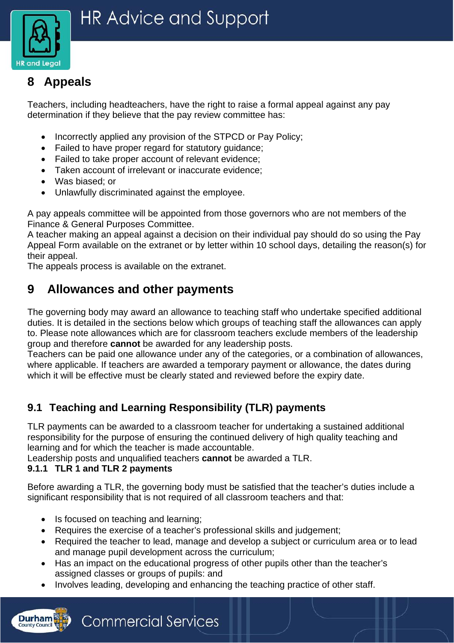

# <span id="page-8-0"></span>**8 Appeals**

Teachers, including headteachers, have the right to raise a formal appeal against any pay determination if they believe that the pay review committee has:

- Incorrectly applied any provision of the STPCD or Pay Policy;
- Failed to have proper regard for statutory guidance;
- Failed to take proper account of relevant evidence;
- Taken account of irrelevant or inaccurate evidence;
- Was biased; or
- Unlawfully discriminated against the employee.

A pay appeals committee will be appointed from those governors who are not members of the Finance & General Purposes Committee.

A teacher making an appeal against a decision on their individual pay should do so using the Pay Appeal Form available on the extranet or by letter within 10 school days, detailing the reason(s) for their appeal.

The appeals process is available on the extranet.

## <span id="page-8-1"></span>**9 Allowances and other payments**

The governing body may award an allowance to teaching staff who undertake specified additional duties. It is detailed in the sections below which groups of teaching staff the allowances can apply to. Please note allowances which are for classroom teachers exclude members of the leadership group and therefore **cannot** be awarded for any leadership posts.

Teachers can be paid one allowance under any of the categories, or a combination of allowances, where applicable. If teachers are awarded a temporary payment or allowance, the dates during which it will be effective must be clearly stated and reviewed before the expiry date.

## **9.1 Teaching and Learning Responsibility (TLR) payments**

TLR payments can be awarded to a classroom teacher for undertaking a sustained additional responsibility for the purpose of ensuring the continued delivery of high quality teaching and learning and for which the teacher is made accountable.

Leadership posts and unqualified teachers **cannot** be awarded a TLR.

#### **9.1.1 TLR 1 and TLR 2 payments**

**Durham** 

Before awarding a TLR, the governing body must be satisfied that the teacher's duties include a significant responsibility that is not required of all classroom teachers and that:

• Is focused on teaching and learning;

- Requires the exercise of a teacher's professional skills and judgement;
- Required the teacher to lead, manage and develop a subject or curriculum area or to lead and manage pupil development across the curriculum;
- Has an impact on the educational progress of other pupils other than the teacher's assigned classes or groups of pupils: and
- Involves leading, developing and enhancing the teaching practice of other staff.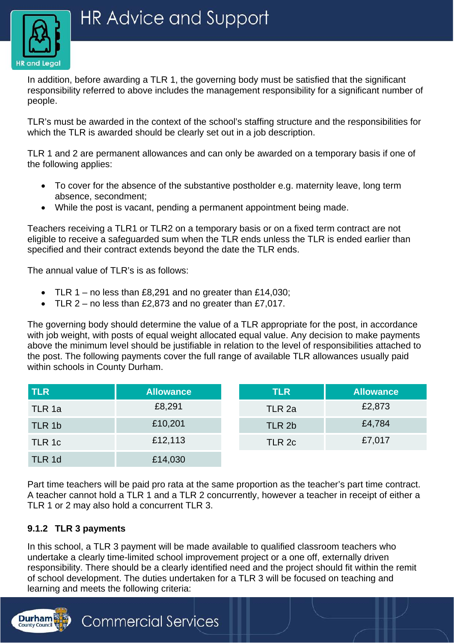

In addition, before awarding a TLR 1, the governing body must be satisfied that the significant responsibility referred to above includes the management responsibility for a significant number of people.

TLR's must be awarded in the context of the school's staffing structure and the responsibilities for which the TLR is awarded should be clearly set out in a job description.

TLR 1 and 2 are permanent allowances and can only be awarded on a temporary basis if one of the following applies:

- To cover for the absence of the substantive postholder e.g. maternity leave, long term absence, secondment;
- While the post is vacant, pending a permanent appointment being made.

Teachers receiving a TLR1 or TLR2 on a temporary basis or on a fixed term contract are not eligible to receive a safeguarded sum when the TLR ends unless the TLR is ended earlier than specified and their contract extends beyond the date the TLR ends.

The annual value of TLR's is as follows:

- TLR 1 no less than £8,291 and no greater than £14,030;
- TLR  $2$  no less than £2,873 and no greater than £7,017.

**Commercial Services** 

The governing body should determine the value of a TLR appropriate for the post, in accordance with job weight, with posts of equal weight allocated equal value. Any decision to make payments above the minimum level should be justifiable in relation to the level of responsibilities attached to the post. The following payments cover the full range of available TLR allowances usually paid within schools in County Durham.

| <b>TLR</b> | <b>Allowance</b> | <b>TLR</b> | <b>Allowance</b> |
|------------|------------------|------------|------------------|
| TLR 1a     | £8,291           | TLR 2a     | £2,873           |
| TLR 1b     | £10,201          | TLR 2b     | £4,784           |
| TLR 1c     | £12,113          | TLR 2c     | £7,017           |
| TLR 1d     | £14,030          |            |                  |

Part time teachers will be paid pro rata at the same proportion as the teacher's part time contract. A teacher cannot hold a TLR 1 and a TLR 2 concurrently, however a teacher in receipt of either a TLR 1 or 2 may also hold a concurrent TLR 3.

#### **9.1.2 TLR 3 payments**

**Durham** 

In this school, a TLR 3 payment will be made available to qualified classroom teachers who undertake a clearly time-limited school improvement project or a one off, externally driven responsibility. There should be a clearly identified need and the project should fit within the remit of school development. The duties undertaken for a TLR 3 will be focused on teaching and learning and meets the following criteria: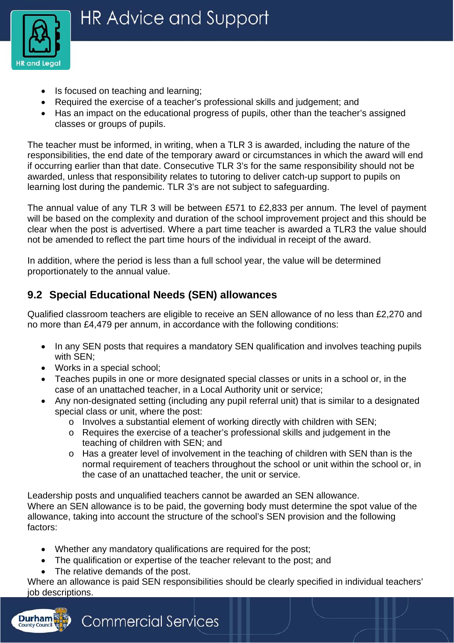

- Is focused on teaching and learning;
- Required the exercise of a teacher's professional skills and judgement; and
- Has an impact on the educational progress of pupils, other than the teacher's assigned classes or groups of pupils.

The teacher must be informed, in writing, when a TLR 3 is awarded, including the nature of the responsibilities, the end date of the temporary award or circumstances in which the award will end if occurring earlier than that date. Consecutive TLR 3's for the same responsibility should not be awarded, unless that responsibility relates to tutoring to deliver catch-up support to pupils on learning lost during the pandemic. TLR 3's are not subject to safeguarding.

The annual value of any TLR 3 will be between £571 to £2,833 per annum. The level of payment will be based on the complexity and duration of the school improvement project and this should be clear when the post is advertised. Where a part time teacher is awarded a TLR3 the value should not be amended to reflect the part time hours of the individual in receipt of the award.

In addition, where the period is less than a full school year, the value will be determined proportionately to the annual value.

## **9.2 Special Educational Needs (SEN) allowances**

Qualified classroom teachers are eligible to receive an SEN allowance of no less than £2,270 and no more than £4,479 per annum, in accordance with the following conditions:

- In any SEN posts that requires a mandatory SEN qualification and involves teaching pupils with SEN;
- Works in a special school;
- Teaches pupils in one or more designated special classes or units in a school or, in the case of an unattached teacher, in a Local Authority unit or service;
- Any non-designated setting (including any pupil referral unit) that is similar to a designated special class or unit, where the post:
	- o Involves a substantial element of working directly with children with SEN;
	- o Requires the exercise of a teacher's professional skills and judgement in the teaching of children with SEN; and
	- o Has a greater level of involvement in the teaching of children with SEN than is the normal requirement of teachers throughout the school or unit within the school or, in the case of an unattached teacher, the unit or service.

Leadership posts and unqualified teachers cannot be awarded an SEN allowance. Where an SEN allowance is to be paid, the governing body must determine the spot value of the allowance, taking into account the structure of the school's SEN provision and the following factors:

- Whether any mandatory qualifications are required for the post;
- The qualification or expertise of the teacher relevant to the post; and
- The relative demands of the post.

Where an allowance is paid SEN responsibilities should be clearly specified in individual teachers' job descriptions.

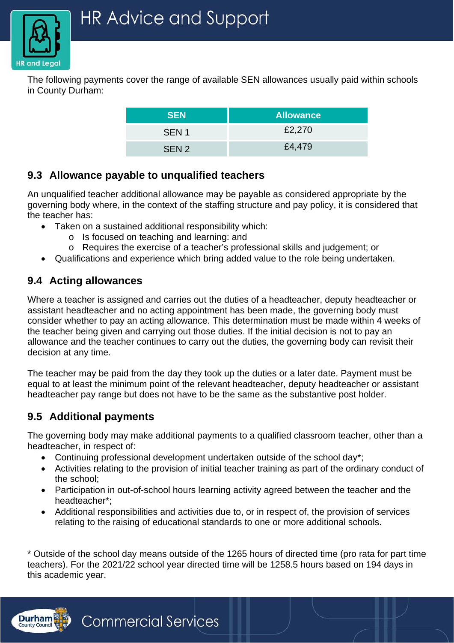

The following payments cover the range of available SEN allowances usually paid within schools in County Durham:

| <b>SEN</b>       | <b>Allowance</b> |
|------------------|------------------|
| SEN <sub>1</sub> | £2,270           |
| SEN <sub>2</sub> | £4,479           |

#### **9.3 Allowance payable to unqualified teachers**

An unqualified teacher additional allowance may be payable as considered appropriate by the governing body where, in the context of the staffing structure and pay policy, it is considered that the teacher has:

- Taken on a sustained additional responsibility which:
	- o Is focused on teaching and learning: and
	- o Requires the exercise of a teacher's professional skills and judgement; or
- Qualifications and experience which bring added value to the role being undertaken.

### **9.4 Acting allowances**

Where a teacher is assigned and carries out the duties of a headteacher, deputy headteacher or assistant headteacher and no acting appointment has been made, the governing body must consider whether to pay an acting allowance. This determination must be made within 4 weeks of the teacher being given and carrying out those duties. If the initial decision is not to pay an allowance and the teacher continues to carry out the duties, the governing body can revisit their decision at any time.

The teacher may be paid from the day they took up the duties or a later date. Payment must be equal to at least the minimum point of the relevant headteacher, deputy headteacher or assistant headteacher pay range but does not have to be the same as the substantive post holder.

#### **9.5 Additional payments**

The governing body may make additional payments to a qualified classroom teacher, other than a headteacher, in respect of:

- Continuing professional development undertaken outside of the school day\*;
- Activities relating to the provision of initial teacher training as part of the ordinary conduct of the school;
- Participation in out-of-school hours learning activity agreed between the teacher and the headteacher\*;
- Additional responsibilities and activities due to, or in respect of, the provision of services relating to the raising of educational standards to one or more additional schools.

\* Outside of the school day means outside of the 1265 hours of directed time (pro rata for part time teachers). For the 2021/22 school year directed time will be 1258.5 hours based on 194 days in this academic year.

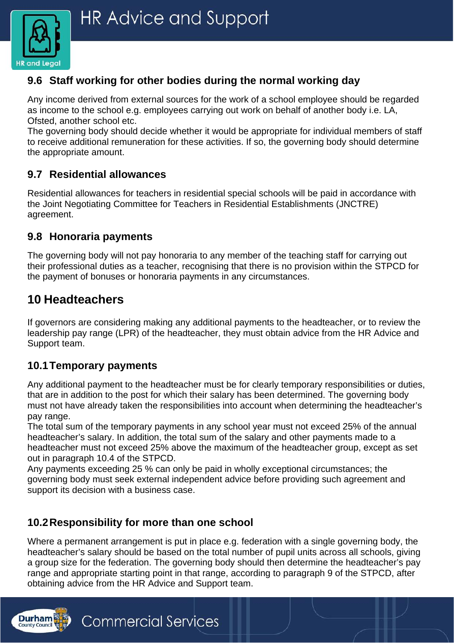

### **9.6 Staff working for other bodies during the normal working day**

Any income derived from external sources for the work of a school employee should be regarded as income to the school e.g. employees carrying out work on behalf of another body i.e. LA, Ofsted, another school etc.

The governing body should decide whether it would be appropriate for individual members of staff to receive additional remuneration for these activities. If so, the governing body should determine the appropriate amount.

#### **9.7 Residential allowances**

Residential allowances for teachers in residential special schools will be paid in accordance with the Joint Negotiating Committee for Teachers in Residential Establishments (JNCTRE) agreement.

#### **9.8 Honoraria payments**

The governing body will not pay honoraria to any member of the teaching staff for carrying out their professional duties as a teacher, recognising that there is no provision within the STPCD for the payment of bonuses or honoraria payments in any circumstances.

## <span id="page-12-0"></span>**10 Headteachers**

If governors are considering making any additional payments to the headteacher, or to review the leadership pay range (LPR) of the headteacher, they must obtain advice from the HR Advice and Support team.

#### **10.1Temporary payments**

Any additional payment to the headteacher must be for clearly temporary responsibilities or duties, that are in addition to the post for which their salary has been determined. The governing body must not have already taken the responsibilities into account when determining the headteacher's pay range.

The total sum of the temporary payments in any school year must not exceed 25% of the annual headteacher's salary. In addition, the total sum of the salary and other payments made to a headteacher must not exceed 25% above the maximum of the headteacher group, except as set out in paragraph 10.4 of the STPCD.

Any payments exceeding 25 % can only be paid in wholly exceptional circumstances; the governing body must seek external independent advice before providing such agreement and support its decision with a business case.

#### **10.2Responsibility for more than one school**

Where a permanent arrangement is put in place e.g. federation with a single governing body, the headteacher's salary should be based on the total number of pupil units across all schools, giving a group size for the federation. The governing body should then determine the headteacher's pay range and appropriate starting point in that range, according to paragraph 9 of the STPCD, after obtaining advice from the HR Advice and Support team.

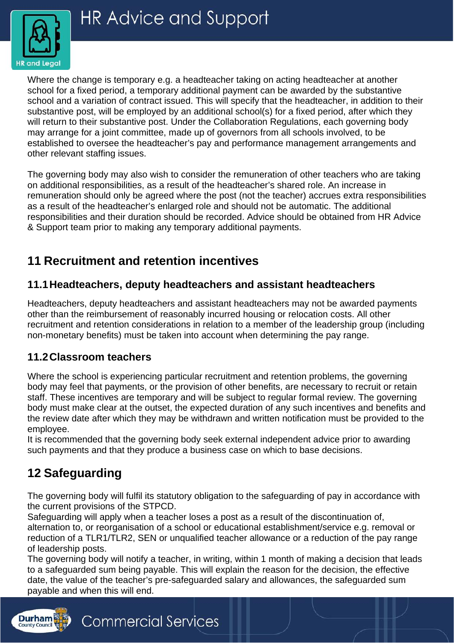

Where the change is temporary e.g. a headteacher taking on acting headteacher at another school for a fixed period, a temporary additional payment can be awarded by the substantive school and a variation of contract issued. This will specify that the headteacher, in addition to their substantive post, will be employed by an additional school(s) for a fixed period, after which they will return to their substantive post. Under the Collaboration Regulations, each governing body may arrange for a joint committee, made up of governors from all schools involved, to be established to oversee the headteacher's pay and performance management arrangements and other relevant staffing issues.

The governing body may also wish to consider the remuneration of other teachers who are taking on additional responsibilities, as a result of the headteacher's shared role. An increase in remuneration should only be agreed where the post (not the teacher) accrues extra responsibilities as a result of the headteacher's enlarged role and should not be automatic. The additional responsibilities and their duration should be recorded. Advice should be obtained from HR Advice & Support team prior to making any temporary additional payments.

# <span id="page-13-0"></span>**11 Recruitment and retention incentives**

**Commercial Services** 

#### **11.1Headteachers, deputy headteachers and assistant headteachers**

Headteachers, deputy headteachers and assistant headteachers may not be awarded payments other than the reimbursement of reasonably incurred housing or relocation costs. All other recruitment and retention considerations in relation to a member of the leadership group (including non-monetary benefits) must be taken into account when determining the pay range.

#### **11.2Classroom teachers**

Where the school is experiencing particular recruitment and retention problems, the governing body may feel that payments, or the provision of other benefits, are necessary to recruit or retain staff. These incentives are temporary and will be subject to regular formal review. The governing body must make clear at the outset, the expected duration of any such incentives and benefits and the review date after which they may be withdrawn and written notification must be provided to the employee.

It is recommended that the governing body seek external independent advice prior to awarding such payments and that they produce a business case on which to base decisions.

# <span id="page-13-1"></span>**12 Safeguarding**

**Durham** 

The governing body will fulfil its statutory obligation to the safeguarding of pay in accordance with the current provisions of the STPCD.

Safeguarding will apply when a teacher loses a post as a result of the discontinuation of, alternation to, or reorganisation of a school or educational establishment/service e.g. removal or reduction of a TLR1/TLR2, SEN or unqualified teacher allowance or a reduction of the pay range of leadership posts.

The governing body will notify a teacher, in writing, within 1 month of making a decision that leads to a safeguarded sum being payable. This will explain the reason for the decision, the effective date, the value of the teacher's pre-safeguarded salary and allowances, the safeguarded sum payable and when this will end.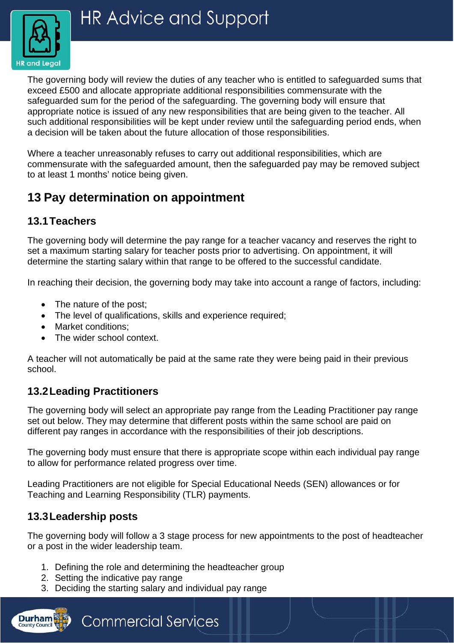

The governing body will review the duties of any teacher who is entitled to safeguarded sums that exceed £500 and allocate appropriate additional responsibilities commensurate with the safeguarded sum for the period of the safeguarding. The governing body will ensure that appropriate notice is issued of any new responsibilities that are being given to the teacher. All such additional responsibilities will be kept under review until the safeguarding period ends, when a decision will be taken about the future allocation of those responsibilities.

Where a teacher unreasonably refuses to carry out additional responsibilities, which are commensurate with the safeguarded amount, then the safeguarded pay may be removed subject to at least 1 months' notice being given.

# <span id="page-14-0"></span>**13 Pay determination on appointment**

#### **13.1Teachers**

The governing body will determine the pay range for a teacher vacancy and reserves the right to set a maximum starting salary for teacher posts prior to advertising. On appointment, it will determine the starting salary within that range to be offered to the successful candidate.

In reaching their decision, the governing body may take into account a range of factors, including:

- The nature of the post;
- The level of qualifications, skills and experience required;
- Market conditions;
- The wider school context.

A teacher will not automatically be paid at the same rate they were being paid in their previous school.

#### **13.2Leading Practitioners**

The governing body will select an appropriate pay range from the Leading Practitioner pay range set out below. They may determine that different posts within the same school are paid on different pay ranges in accordance with the responsibilities of their job descriptions.

The governing body must ensure that there is appropriate scope within each individual pay range to allow for performance related progress over time.

Leading Practitioners are not eligible for Special Educational Needs (SEN) allowances or for Teaching and Learning Responsibility (TLR) payments.

#### **13.3Leadership posts**

**Durham** 

The governing body will follow a 3 stage process for new appointments to the post of headteacher or a post in the wider leadership team.

- 1. Defining the role and determining the headteacher group
- 2. Setting the indicative pay range
- 3. Deciding the starting salary and individual pay range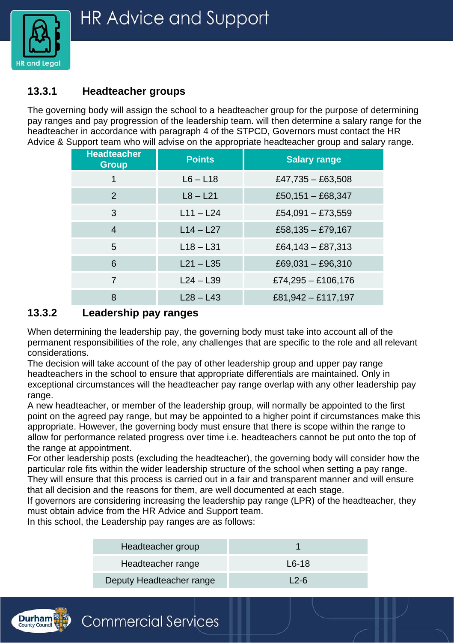

#### **13.3.1 Headteacher groups**

The governing body will assign the school to a headteacher group for the purpose of determining pay ranges and pay progression of the leadership team. will then determine a salary range for the headteacher in accordance with paragraph 4 of the STPCD, Governors must contact the HR Advice & Support team who will advise on the appropriate headteacher group and salary range.

| <b>Headteacher</b><br><b>Group</b> | <b>Points</b> | <b>Salary range</b>  |
|------------------------------------|---------------|----------------------|
| 1                                  | $L6 - L18$    | £47,735 $-$ £63,508  |
| 2                                  | $L8 - L21$    | £50,151 - £68,347    |
| 3                                  | $L11 - L24$   | £54,091 - £73,559    |
| $\overline{4}$                     | $L$ 14 - L27  | £58,135 $-$ £79,167  |
| 5                                  | $L18 - L31$   | £64,143 - £87,313    |
| 6                                  | $L21 - L35$   | £69,031 $-$ £96,310  |
| 7                                  | $L24 - L39$   | £74,295 $-$ £106,176 |
| 8                                  | $L28 - L43$   | £81,942 - £117,197   |

#### **13.3.2 Leadership pay ranges**

When determining the leadership pay, the governing body must take into account all of the permanent responsibilities of the role, any challenges that are specific to the role and all relevant considerations.

The decision will take account of the pay of other leadership group and upper pay range headteachers in the school to ensure that appropriate differentials are maintained. Only in exceptional circumstances will the headteacher pay range overlap with any other leadership pay range.

A new headteacher, or member of the leadership group, will normally be appointed to the first point on the agreed pay range, but may be appointed to a higher point if circumstances make this appropriate. However, the governing body must ensure that there is scope within the range to allow for performance related progress over time i.e. headteachers cannot be put onto the top of the range at appointment.

For other leadership posts (excluding the headteacher), the governing body will consider how the particular role fits within the wider leadership structure of the school when setting a pay range. They will ensure that this process is carried out in a fair and transparent manner and will ensure that all decision and the reasons for them, are well documented at each stage.

If governors are considering increasing the leadership pay range (LPR) of the headteacher, they must obtain advice from the HR Advice and Support team.

In this school, the Leadership pay ranges are as follows:

| Headteacher group        |        |
|--------------------------|--------|
| Headteacher range        | L6-18  |
| Deputy Headteacher range | $12-6$ |

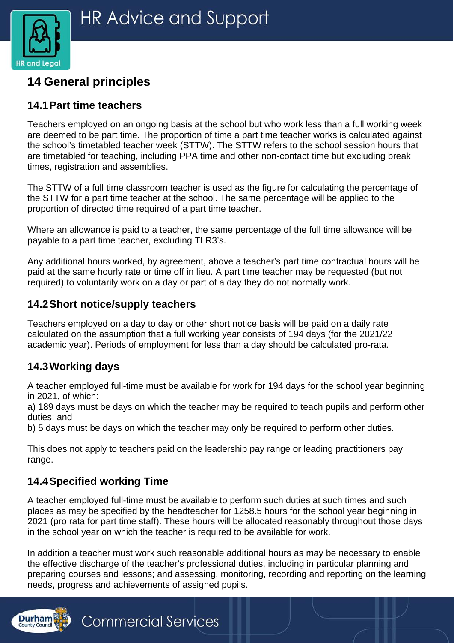

# <span id="page-16-0"></span>**14 General principles**

#### **14.1Part time teachers**

Teachers employed on an ongoing basis at the school but who work less than a full working week are deemed to be part time. The proportion of time a part time teacher works is calculated against the school's timetabled teacher week (STTW). The STTW refers to the school session hours that are timetabled for teaching, including PPA time and other non-contact time but excluding break times, registration and assemblies.

The STTW of a full time classroom teacher is used as the figure for calculating the percentage of the STTW for a part time teacher at the school. The same percentage will be applied to the proportion of directed time required of a part time teacher.

Where an allowance is paid to a teacher, the same percentage of the full time allowance will be payable to a part time teacher, excluding TLR3's.

Any additional hours worked, by agreement, above a teacher's part time contractual hours will be paid at the same hourly rate or time off in lieu. A part time teacher may be requested (but not required) to voluntarily work on a day or part of a day they do not normally work.

#### **14.2Short notice/supply teachers**

Teachers employed on a day to day or other short notice basis will be paid on a daily rate calculated on the assumption that a full working year consists of 194 days (for the 2021/22 academic year). Periods of employment for less than a day should be calculated pro-rata.

#### **14.3Working days**

**Durham** 

A teacher employed full-time must be available for work for 194 days for the school year beginning in 2021, of which:

a) 189 days must be days on which the teacher may be required to teach pupils and perform other duties; and

b) 5 days must be days on which the teacher may only be required to perform other duties.

This does not apply to teachers paid on the leadership pay range or leading practitioners pay range.

#### **14.4Specified working Time**

**Commercial Services** 

A teacher employed full-time must be available to perform such duties at such times and such places as may be specified by the headteacher for 1258.5 hours for the school year beginning in 2021 (pro rata for part time staff). These hours will be allocated reasonably throughout those days in the school year on which the teacher is required to be available for work.

In addition a teacher must work such reasonable additional hours as may be necessary to enable the effective discharge of the teacher's professional duties, including in particular planning and preparing courses and lessons; and assessing, monitoring, recording and reporting on the learning needs, progress and achievements of assigned pupils.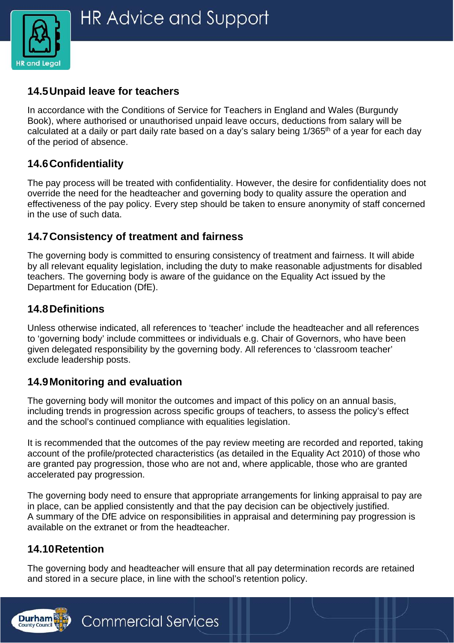

#### **14.5Unpaid leave for teachers**

In accordance with the Conditions of Service for Teachers in England and Wales (Burgundy Book), where authorised or unauthorised unpaid leave occurs, deductions from salary will be calculated at a daily or part daily rate based on a day's salary being 1/365<sup>th</sup> of a year for each day of the period of absence.

#### **14.6Confidentiality**

The pay process will be treated with confidentiality. However, the desire for confidentiality does not override the need for the headteacher and governing body to quality assure the operation and effectiveness of the pay policy. Every step should be taken to ensure anonymity of staff concerned in the use of such data.

#### **14.7Consistency of treatment and fairness**

The governing body is committed to ensuring consistency of treatment and fairness. It will abide by all relevant equality legislation, including the duty to make reasonable adjustments for disabled teachers. The governing body is aware of the guidance on the Equality Act issued by the Department for Education (DfE).

#### **14.8Definitions**

Unless otherwise indicated, all references to 'teacher' include the headteacher and all references to 'governing body' include committees or individuals e.g. Chair of Governors, who have been given delegated responsibility by the governing body. All references to 'classroom teacher' exclude leadership posts.

#### **14.9Monitoring and evaluation**

The governing body will monitor the outcomes and impact of this policy on an annual basis, including trends in progression across specific groups of teachers, to assess the policy's effect and the school's continued compliance with equalities legislation.

It is recommended that the outcomes of the pay review meeting are recorded and reported, taking account of the profile/protected characteristics (as detailed in the Equality Act 2010) of those who are granted pay progression, those who are not and, where applicable, those who are granted accelerated pay progression.

The governing body need to ensure that appropriate arrangements for linking appraisal to pay are in place, can be applied consistently and that the pay decision can be objectively justified. A summary of the DfE advice on responsibilities in appraisal and determining pay progression is available on the extranet or from the headteacher.

#### **14.10Retention**

The governing body and headteacher will ensure that all pay determination records are retained and stored in a secure place, in line with the school's retention policy.

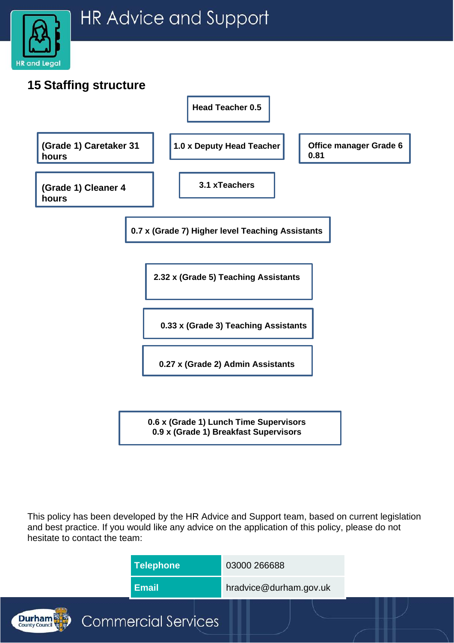

<span id="page-18-0"></span>

**0.6 x (Grade 1) Lunch Time Supervisors 0.9 x (Grade 1) Breakfast Supervisors**

This policy has been developed by the HR Advice and Support team, based on current legislation and best practice. If you would like any advice on the application of this policy, please do not hesitate to contact the team: